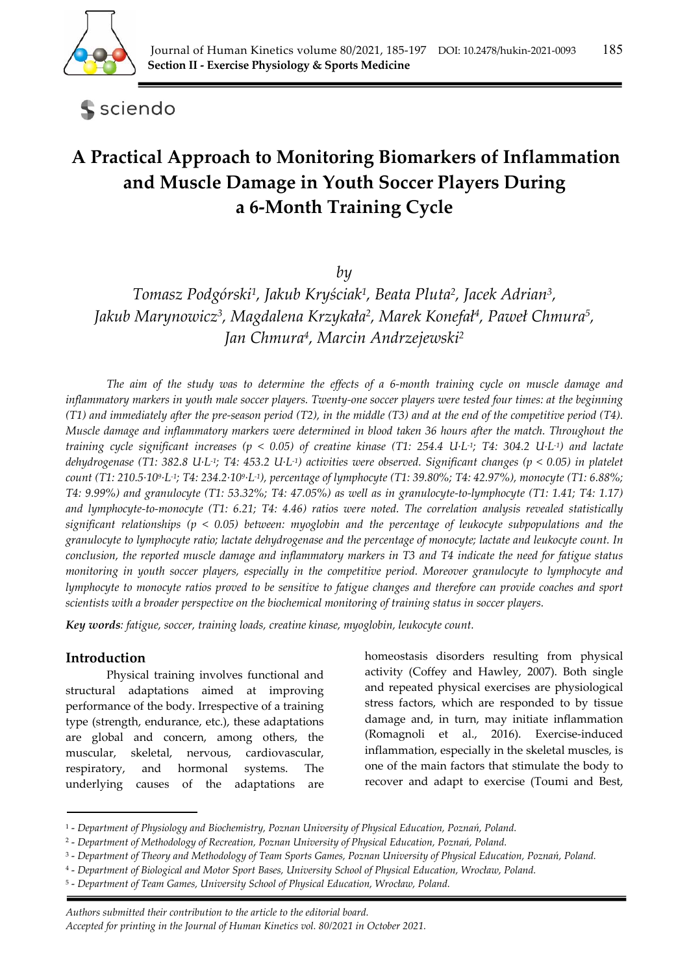

**S** sciendo

# **A Practical Approach to Monitoring Biomarkers of Inflammation and Muscle Damage in Youth Soccer Players During a 6‐Month Training Cycle**

*by* 

*Tomasz Podgórski1, Jakub Kryściak1, Beata Pluta2, Jacek Adrian3, Jakub Marynowicz3, Magdalena Krzykała2, Marek Konefał 4, Paweł Chmura5, Jan Chmura4, Marcin Andrzejewski2*

*The aim of the study was to determine the effects of a 6-month training cycle on muscle damage and inflammatory markers in youth male soccer players. Twenty-one soccer players were tested four times: at the beginning (T1) and immediately after the pre-season period (T2), in the middle (T3) and at the end of the competitive period (T4). Muscle damage and inflammatory markers were determined in blood taken 36 hours after the match. Throughout the training cycle significant increases (p < 0.05) of creatine kinase (T1: 254.4 U·L-1; T4: 304.2 U·L-1) and lactate dehydrogenase (T1: 382.8 U·L-1; T4: 453.2 U·L-1) activities were observed. Significant changes (p < 0.05) in platelet count (T1: 210.5·109·L-1; T4: 234.2·109·L-1), percentage of lymphocyte (T1: 39.80%; T4: 42.97%), monocyte (T1: 6.88%; T4: 9.99%) and granulocyte (T1: 53.32%; T4: 47.05%) as well as in granulocyte-to-lymphocyte (T1: 1.41; T4: 1.17) and lymphocyte-to-monocyte (T1: 6.21; T4: 4.46) ratios were noted. The correlation analysis revealed statistically significant relationships (p < 0.05) between: myoglobin and the percentage of leukocyte subpopulations and the granulocyte to lymphocyte ratio; lactate dehydrogenase and the percentage of monocyte; lactate and leukocyte count. In conclusion, the reported muscle damage and inflammatory markers in T3 and T4 indicate the need for fatigue status monitoring in youth soccer players, especially in the competitive period. Moreover granulocyte to lymphocyte and lymphocyte to monocyte ratios proved to be sensitive to fatigue changes and therefore can provide coaches and sport scientists with a broader perspective on the biochemical monitoring of training status in soccer players.* 

*Key words: fatigue, soccer, training loads, creatine kinase, myoglobin, leukocyte count.* 

# **Introduction**

Physical training involves functional and structural adaptations aimed at improving performance of the body. Irrespective of a training type (strength, endurance, etc.), these adaptations are global and concern, among others, the muscular, skeletal, nervous, cardiovascular, respiratory, and hormonal systems. The underlying causes of the adaptations are

homeostasis disorders resulting from physical activity (Coffey and Hawley, 2007). Both single and repeated physical exercises are physiological stress factors, which are responded to by tissue damage and, in turn, may initiate inflammation (Romagnoli et al., 2016). Exercise-induced inflammation, especially in the skeletal muscles, is one of the main factors that stimulate the body to recover and adapt to exercise (Toumi and Best,

<sup>1 -</sup> *Department of Physiology and Biochemistry, Poznan University of Physical Education, Poznań, Poland.* 

<sup>2 -</sup> *Department of Methodology of Recreation, Poznan University of Physical Education, Poznań, Poland.* 

<sup>3 -</sup> *Department of Theory and Methodology of Team Sports Games, Poznan University of Physical Education, Poznań, Poland.* 

<sup>4 -</sup> *Department of Biological and Motor Sport Bases, University School of Physical Education, Wrocław, Poland.* 

<sup>5 -</sup> *Department of Team Games, University School of Physical Education, Wrocław, Poland.*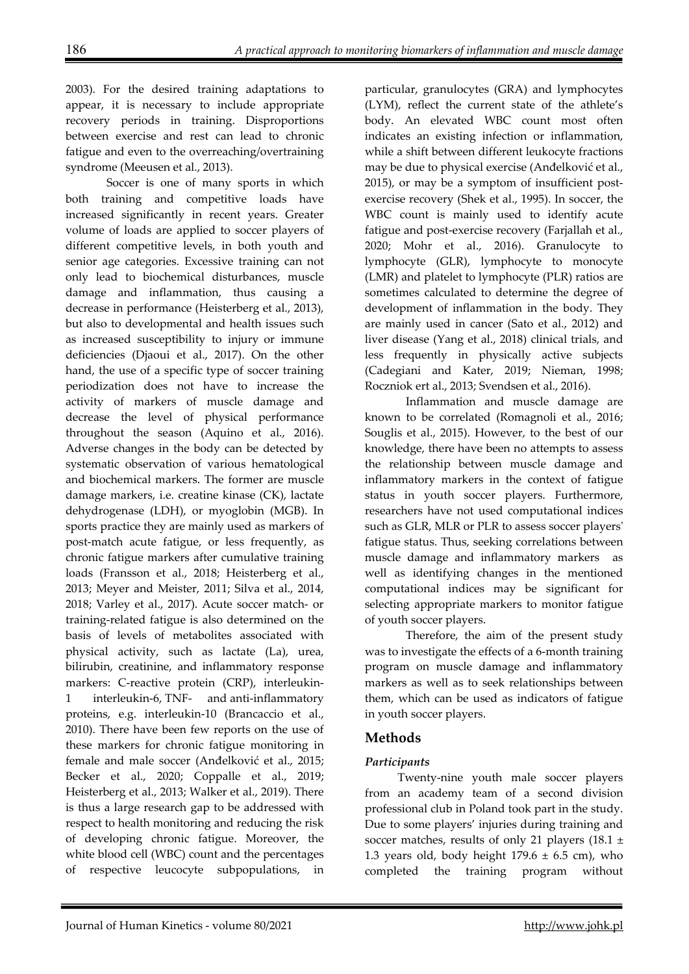2003). For the desired training adaptations to appear, it is necessary to include appropriate recovery periods in training. Disproportions between exercise and rest can lead to chronic fatigue and even to the overreaching/overtraining syndrome (Meeusen et al., 2013).

Soccer is one of many sports in which both training and competitive loads have increased significantly in recent years. Greater volume of loads are applied to soccer players of different competitive levels, in both youth and senior age categories. Excessive training can not only lead to biochemical disturbances, muscle damage and inflammation, thus causing a decrease in performance (Heisterberg et al., 2013), but also to developmental and health issues such as increased susceptibility to injury or immune deficiencies (Djaoui et al., 2017). On the other hand, the use of a specific type of soccer training periodization does not have to increase the activity of markers of muscle damage and decrease the level of physical performance throughout the season (Aquino et al., 2016). Adverse changes in the body can be detected by systematic observation of various hematological and biochemical markers. The former are muscle damage markers, i.e. creatine kinase (CK), lactate dehydrogenase (LDH), or myoglobin (MGB). In sports practice they are mainly used as markers of post-match acute fatigue, or less frequently, as chronic fatigue markers after cumulative training loads (Fransson et al., 2018; Heisterberg et al., 2013; Meyer and Meister, 2011; Silva et al., 2014, 2018; Varley et al., 2017). Acute soccer match- or training-related fatigue is also determined on the basis of levels of metabolites associated with physical activity, such as lactate (La), urea, bilirubin, creatinine, and inflammatory response markers: C-reactive protein (CRP), interleukininterleukin-6, TNF- and anti-inflammatory proteins, e.g. interleukin-10 (Brancaccio et al., 2010). There have been few reports on the use of these markers for chronic fatigue monitoring in female and male soccer (Anđelković et al., 2015; Becker et al., 2020; Coppalle et al., 2019; Heisterberg et al., 2013; Walker et al., 2019). There is thus a large research gap to be addressed with respect to health monitoring and reducing the risk of developing chronic fatigue. Moreover, the white blood cell (WBC) count and the percentages of respective leucocyte subpopulations, in particular, granulocytes (GRA) and lymphocytes (LYM), reflect the current state of the athlete's body. An elevated WBC count most often indicates an existing infection or inflammation, while a shift between different leukocyte fractions may be due to physical exercise (Anđelković et al., 2015), or may be a symptom of insufficient postexercise recovery (Shek et al., 1995). In soccer, the WBC count is mainly used to identify acute fatigue and post-exercise recovery (Farjallah et al., 2020; Mohr et al., 2016). Granulocyte to lymphocyte (GLR), lymphocyte to monocyte (LMR) and platelet to lymphocyte (PLR) ratios are sometimes calculated to determine the degree of development of inflammation in the body. They are mainly used in cancer (Sato et al., 2012) and liver disease (Yang et al., 2018) clinical trials, and less frequently in physically active subjects (Cadegiani and Kater, 2019; Nieman, 1998; Roczniok ert al., 2013; Svendsen et al., 2016).

Inflammation and muscle damage are known to be correlated (Romagnoli et al., 2016; Souglis et al., 2015). However, to the best of our knowledge, there have been no attempts to assess the relationship between muscle damage and inflammatory markers in the context of fatigue status in youth soccer players. Furthermore, researchers have not used computational indices such as GLR, MLR or PLR to assess soccer players' fatigue status. Thus, seeking correlations between muscle damage and inflammatory markers as well as identifying changes in the mentioned computational indices may be significant for selecting appropriate markers to monitor fatigue of youth soccer players.

Therefore, the aim of the present study was to investigate the effects of a 6-month training program on muscle damage and inflammatory markers as well as to seek relationships between them, which can be used as indicators of fatigue in youth soccer players.

# **Methods**

# *Participants*

Twenty-nine youth male soccer players from an academy team of a second division professional club in Poland took part in the study. Due to some players' injuries during training and soccer matches, results of only 21 players (18.1  $\pm$ 1.3 years old, body height  $179.6 \pm 6.5$  cm), who completed the training program without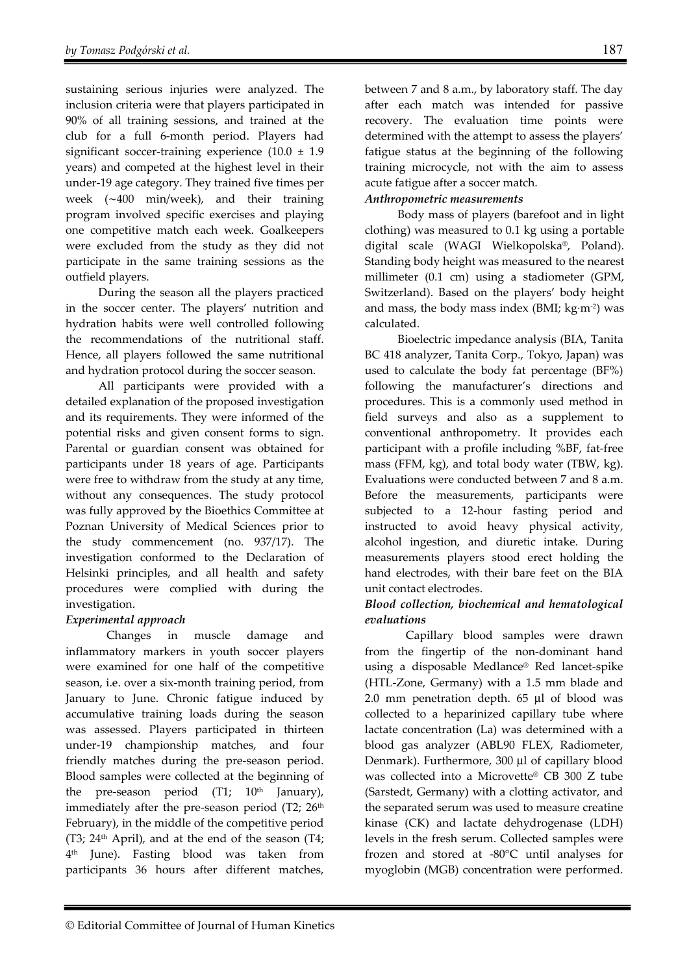sustaining serious injuries were analyzed. The inclusion criteria were that players participated in 90% of all training sessions, and trained at the club for a full 6-month period. Players had significant soccer-training experience  $(10.0 \pm 1.9)$ years) and competed at the highest level in their under-19 age category. They trained five times per week (∼400 min/week), and their training program involved specific exercises and playing one competitive match each week. Goalkeepers were excluded from the study as they did not participate in the same training sessions as the outfield players.

During the season all the players practiced in the soccer center. The players' nutrition and hydration habits were well controlled following the recommendations of the nutritional staff. Hence, all players followed the same nutritional and hydration protocol during the soccer season.

All participants were provided with a detailed explanation of the proposed investigation and its requirements. They were informed of the potential risks and given consent forms to sign. Parental or guardian consent was obtained for participants under 18 years of age. Participants were free to withdraw from the study at any time, without any consequences. The study protocol was fully approved by the Bioethics Committee at Poznan University of Medical Sciences prior to the study commencement (no. 937/17). The investigation conformed to the Declaration of Helsinki principles, and all health and safety procedures were complied with during the investigation.

# *Experimental approach*

Changes in muscle damage and inflammatory markers in youth soccer players were examined for one half of the competitive season, i.e. over a six-month training period, from January to June. Chronic fatigue induced by accumulative training loads during the season was assessed. Players participated in thirteen under-19 championship matches, and four friendly matches during the pre-season period. Blood samples were collected at the beginning of the pre-season period  $(T1; 10<sup>th</sup>$  January), immediately after the pre-season period  $(T2; 26<sup>th</sup>)$ February), in the middle of the competitive period (T3;  $24<sup>th</sup>$  April), and at the end of the season (T4; 4th June). Fasting blood was taken from participants 36 hours after different matches,

between 7 and 8 a.m., by laboratory staff. The day after each match was intended for passive recovery. The evaluation time points were determined with the attempt to assess the players' fatigue status at the beginning of the following training microcycle, not with the aim to assess acute fatigue after a soccer match.

### *Anthropometric measurements*

Body mass of players (barefoot and in light clothing) was measured to 0.1 kg using a portable digital scale (WAGI Wielkopolska®, Poland). Standing body height was measured to the nearest millimeter (0.1 cm) using a stadiometer (GPM, Switzerland). Based on the players' body height and mass, the body mass index (BMI; kg∙m-2) was calculated.

Bioelectric impedance analysis (BIA, Tanita BC 418 analyzer, Tanita Corp., Tokyo, Japan) was used to calculate the body fat percentage (BF%) following the manufacturer's directions and procedures. This is a commonly used method in field surveys and also as a supplement to conventional anthropometry. It provides each participant with a profile including %BF, fat-free mass (FFM, kg), and total body water (TBW, kg). Evaluations were conducted between 7 and 8 a.m. Before the measurements, participants were subjected to a 12-hour fasting period and instructed to avoid heavy physical activity, alcohol ingestion, and diuretic intake. During measurements players stood erect holding the hand electrodes, with their bare feet on the BIA unit contact electrodes.

### *Blood collection, biochemical and hematological evaluations*

Capillary blood samples were drawn from the fingertip of the non-dominant hand using a disposable Medlance® Red lancet-spike (HTL-Zone, Germany) with a 1.5 mm blade and 2.0 mm penetration depth. 65 μl of blood was collected to a heparinized capillary tube where lactate concentration (La) was determined with a blood gas analyzer (ABL90 FLEX, Radiometer, Denmark). Furthermore, 300 μl of capillary blood was collected into a Microvette® CB 300 Z tube (Sarstedt, Germany) with a clotting activator, and the separated serum was used to measure creatine kinase (CK) and lactate dehydrogenase (LDH) levels in the fresh serum. Collected samples were frozen and stored at -80°C until analyses for myoglobin (MGB) concentration were performed.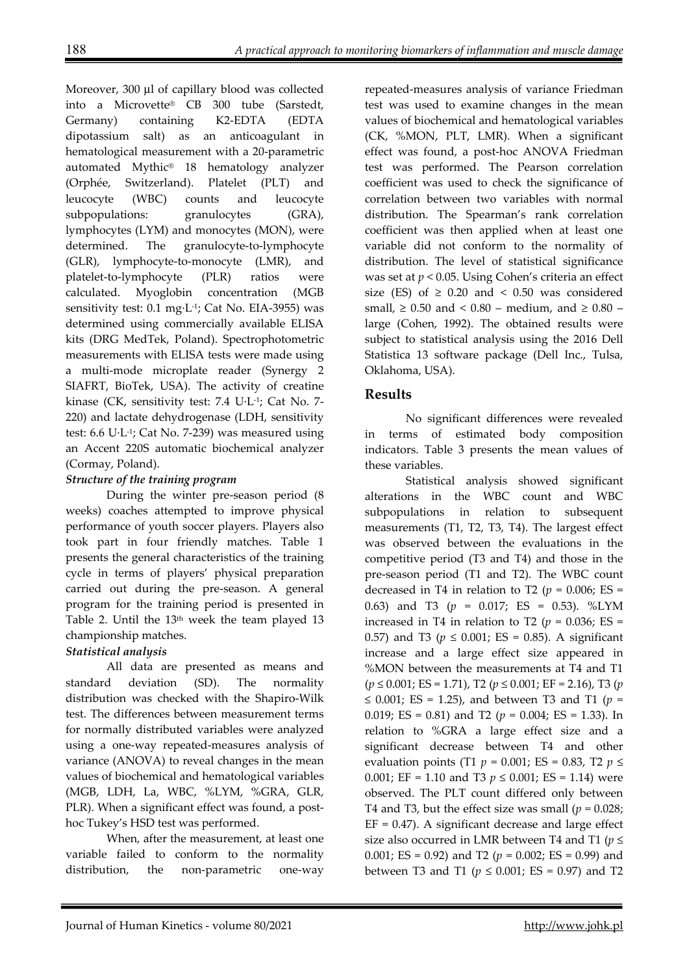Moreover, 300 μl of capillary blood was collected into a Microvette® CB 300 tube (Sarstedt, Germany) containing K2-EDTA (EDTA dipotassium salt) as an anticoagulant in hematological measurement with a 20-parametric automated Mythic® 18 hematology analyzer (Orphée, Switzerland). Platelet (PLT) and leucocyte (WBC) counts and leucocyte subpopulations: granulocytes (GRA), lymphocytes (LYM) and monocytes (MON), were determined. The granulocyte-to-lymphocyte (GLR), lymphocyte-to-monocyte (LMR), and platelet-to-lymphocyte (PLR) ratios were calculated. Myoglobin concentration (MGB sensitivity test: 0.1 mg∙L-1; Cat No. EIA-3955) was determined using commercially available ELISA kits (DRG MedTek, Poland). Spectrophotometric measurements with ELISA tests were made using a multi-mode microplate reader (Synergy 2 SIAFRT, BioTek, USA). The activity of creatine kinase (CK, sensitivity test: 7.4 U∙L-1; Cat No. 7- 220) and lactate dehydrogenase (LDH, sensitivity test: 6.6 U∙L-1; Cat No. 7-239) was measured using an Accent 220S automatic biochemical analyzer (Cormay, Poland).

# *Structure of the training program*

During the winter pre-season period (8 weeks) coaches attempted to improve physical performance of youth soccer players. Players also took part in four friendly matches. Table 1 presents the general characteristics of the training cycle in terms of players' physical preparation carried out during the pre-season. A general program for the training period is presented in Table 2. Until the 13<sup>th</sup> week the team played 13 championship matches.

# *Statistical analysis*

All data are presented as means and standard deviation (SD). The normality distribution was checked with the Shapiro-Wilk test. The differences between measurement terms for normally distributed variables were analyzed using a one-way repeated-measures analysis of variance (ANOVA) to reveal changes in the mean values of biochemical and hematological variables (MGB, LDH, La, WBC, %LYM, %GRA, GLR, PLR). When a significant effect was found, a posthoc Tukey's HSD test was performed.

When, after the measurement, at least one variable failed to conform to the normality distribution, the non-parametric one-way repeated-measures analysis of variance Friedman test was used to examine changes in the mean values of biochemical and hematological variables (CK, %MON, PLT, LMR). When a significant effect was found, a post-hoc ANOVA Friedman test was performed. The Pearson correlation coefficient was used to check the significance of correlation between two variables with normal distribution. The Spearman's rank correlation coefficient was then applied when at least one variable did not conform to the normality of distribution. The level of statistical significance was set at *p* < 0.05. Using Cohen's criteria an effect size (ES) of  $\geq$  0.20 and < 0.50 was considered small,  $\geq 0.50$  and  $\leq 0.80$  – medium, and  $\geq 0.80$  – large (Cohen, 1992). The obtained results were subject to statistical analysis using the 2016 Dell Statistica 13 software package (Dell Inc., Tulsa, Oklahoma, USA).

# **Results**

No significant differences were revealed in terms of estimated body composition indicators. Table 3 presents the mean values of these variables.

Statistical analysis showed significant alterations in the WBC count and WBC subpopulations in relation to subsequent measurements (T1, T2, T3, T4). The largest effect was observed between the evaluations in the competitive period (T3 and T4) and those in the pre-season period (T1 and T2). The WBC count decreased in T4 in relation to T2 ( $p = 0.006$ ; ES = 0.63) and T3 (*p* = 0.017; ES = 0.53). %LYM increased in T4 in relation to T2 ( $p = 0.036$ ; ES = 0.57) and T3 ( $p \le 0.001$ ; ES = 0.85). A significant increase and a large effect size appeared in %MON between the measurements at T4 and T1 (*p* ≤ 0.001; ES = 1.71), T2 (*p* ≤ 0.001; EF = 2.16), T3 (*p* ≤ 0.001; ES = 1.25), and between T3 and T1 ( $p =$ 0.019; ES = 0.81) and T2 ( $p = 0.004$ ; ES = 1.33). In relation to %GRA a large effect size and a significant decrease between T4 and other evaluation points (T1 *p* = 0.001; ES = 0.83, T2 *p* ≤ 0.001; EF = 1.10 and T3  $p \le 0.001$ ; ES = 1.14) were observed. The PLT count differed only between T4 and T3, but the effect size was small  $(p = 0.028)$ ;  $EF = 0.47$ ). A significant decrease and large effect size also occurred in LMR between T4 and T1 (*p* ≤ 0.001; ES = 0.92) and T2 (*p* = 0.002; ES = 0.99) and between T3 and T1 ( $p \le 0.001$ ; ES = 0.97) and T2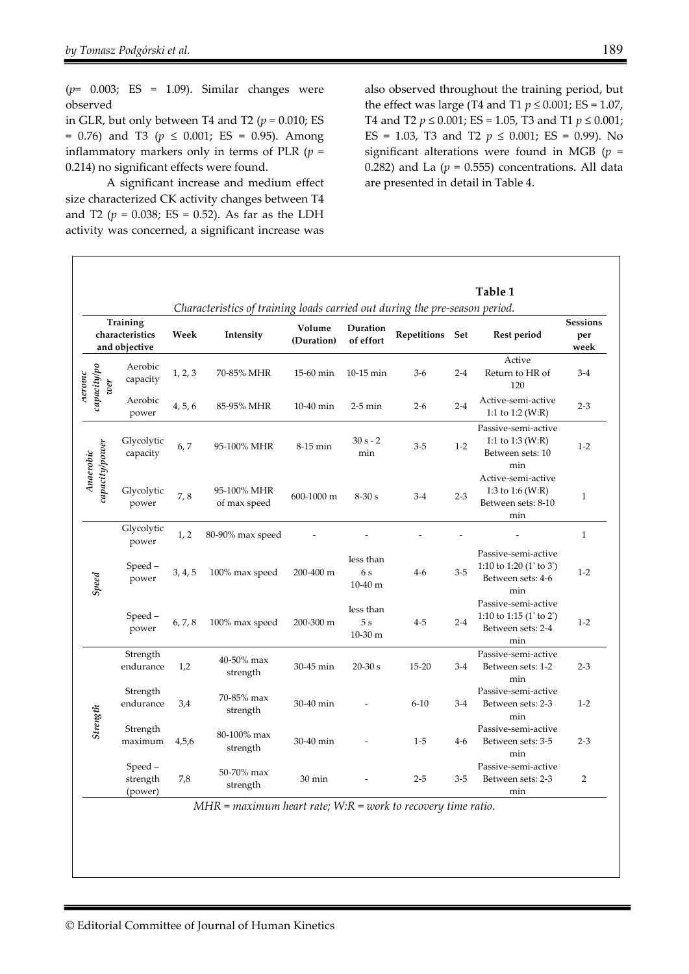(*p*= 0.003; ES = 1.09). Similar changes were observed

in GLR, but only between T4 and T2 ( $p = 0.010$ ; ES = 0.76) and T3 (*p* ≤ 0.001; ES = 0.95). Among inflammatory markers only in terms of PLR  $(p =$ 0.214) no significant effects were found.

A significant increase and medium effect size characterized CK activity changes between T4 and T2 ( $p = 0.038$ ; ES = 0.52). As far as the LDH activity was concerned, a significant increase was

also observed throughout the training period, but the effect was large (T4 and T1  $p \le 0.001$ ; ES = 1.07, T4 and T2 *p* ≤ 0.001; ES = 1.05, T3 and T1 *p* ≤ 0.001; ES = 1.03, T3 and T2  $p \le 0.001$ ; ES = 0.99). No significant alterations were found in MGB  $(p =$ 0.282) and La  $(p = 0.555)$  concentrations. All data are presented in detail in Table 4.

|                                              |                               |         | Characteristics of training loads carried out during the pre-season period. |                                               |                               |                    |         | Table 1                                                                      |                                |
|----------------------------------------------|-------------------------------|---------|-----------------------------------------------------------------------------|-----------------------------------------------|-------------------------------|--------------------|---------|------------------------------------------------------------------------------|--------------------------------|
| Training<br>characteristics<br>and obiective |                               | Week    | Intensity                                                                   | Volume<br>Duration<br>of effort<br>(Duration) |                               | Repetitions<br>Set |         | <b>Rest period</b>                                                           | <b>Sessions</b><br>per<br>week |
| capacity/po<br>Aerovic<br>wer                | Aerobic<br>capacity           | 1, 2, 3 | 70-85% MHR                                                                  | 15-60 min                                     | 10-15 min                     | $3-6$              | $2 - 4$ | Active<br>Return to HR of<br>120                                             | $3-4$                          |
|                                              | Aerobic<br>power              | 4, 5, 6 | 85-95% MHR                                                                  | 10-40 min                                     | $2-5$ min                     | $2 - 6$            | $2 - 4$ | Active-semi-active<br>1:1 to 1:2 (W:R)                                       | $2 - 3$                        |
| capacity power<br>Anaerobic                  | Glycolytic<br>capacity        | 6,7     | 95-100% MHR                                                                 | 8-15 min                                      | 30 s - 2<br>min               | $3 - 5$            | $1-2$   | Passive-semi-active<br>1:1 to 1:3 (W:R)<br>Between sets: 10<br>min           | $1 - 2$                        |
|                                              | Glycolytic<br>power           | 7,8     | 95-100% MHR<br>of max speed                                                 | 600-1000 m                                    | $8-30s$                       | $3-4$              | $2 - 3$ | Active-semi-active<br>1:3 to 1:6 (W:R)<br>Between sets: 8-10<br>min          | $\mathbf{1}$                   |
| Speed                                        | Glycolytic<br>power           | 1, 2    | 80-90% max speed                                                            |                                               |                               |                    |         |                                                                              | $\mathbf{1}$                   |
|                                              | Speed-<br>power               | 3, 4, 5 | 100% max speed                                                              | 200-400 m                                     | less than<br>6 s<br>$10-40$ m | $4 - 6$            | $3 - 5$ | Passive-semi-active<br>1:10 to 1:20 $(1'$ to 3')<br>Between sets: 4-6<br>min | $1 - 2$                        |
|                                              | Speed-<br>power               | 6, 7, 8 | 100% max speed                                                              | 200-300 m                                     | less than<br>5s<br>$10-30$ m  | $4 - 5$            | $2 - 4$ | Passive-semi-active<br>1:10 to 1:15 (1' to 2')<br>Between sets: 2-4<br>min   | $1 - 2$                        |
| Strength                                     | Strength<br>endurance         | 1,2     | 40-50% max<br>strength                                                      | 30-45 min                                     | $20-30s$                      | $15 - 20$          | $3-4$   | Passive-semi-active<br>Between sets: 1-2<br>min                              | $2 - 3$                        |
|                                              | Strength<br>endurance         | 3,4     | 70-85% max<br>strength                                                      | 30-40 min                                     |                               | $6 - 10$           | $3-4$   | Passive-semi-active<br>Between sets: 2-3<br>min                              | $1 - 2$                        |
|                                              | Strength<br>maximum<br>4,5,6  |         | 80-100% max<br>strength                                                     | 30-40 min                                     |                               | $1 - 5$            | $4-6$   | Passive-semi-active<br>Between sets: 3-5<br>min                              | $2 - 3$                        |
|                                              | Speed-<br>strength<br>(power) | 7,8     | 50-70% max<br>strength                                                      | 30 min                                        |                               | $2 - 5$            | $3 - 5$ | Passive-semi-active<br>Between sets: 2-3<br>min                              | $\overline{2}$                 |

*MHR = maximum heart rate; W:R = work to recovery time ratio.*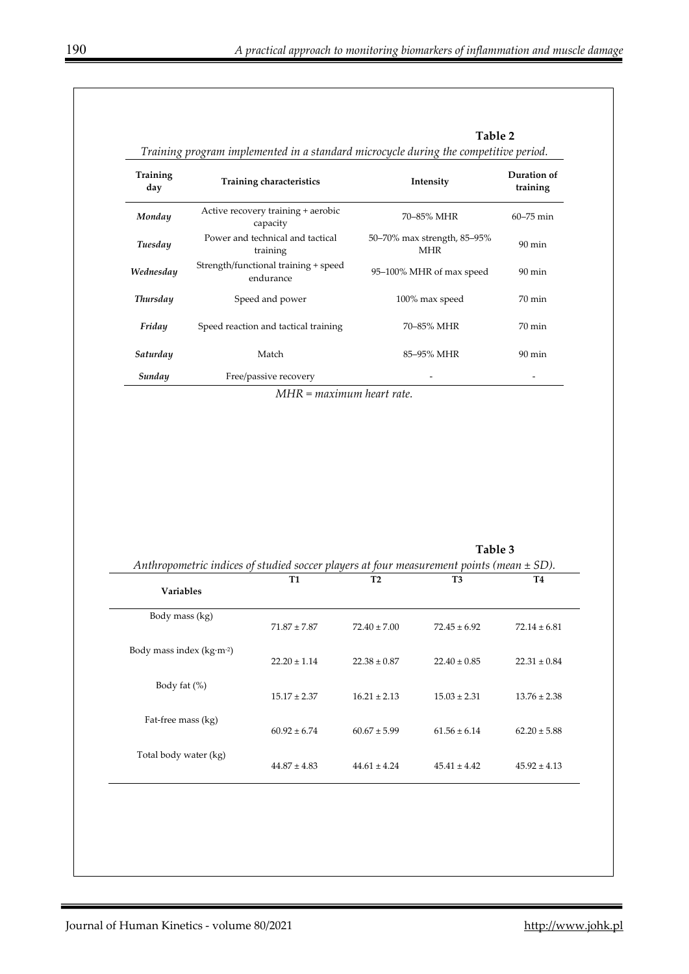| Training<br>day          | Training characteristics                                                                           |                  | Intensity                                 |                     |  |  |
|--------------------------|----------------------------------------------------------------------------------------------------|------------------|-------------------------------------------|---------------------|--|--|
| Monday                   | Active recovery training + aerobic<br>capacity                                                     |                  | 70-85% MHR                                |                     |  |  |
| Tuesday                  | Power and technical and tactical<br>training                                                       |                  | 50-70% max strength, 85-95%<br><b>MHR</b> |                     |  |  |
| Wednesday                | Strength/functional training + speed<br>endurance                                                  |                  | 95-100% MHR of max speed                  |                     |  |  |
| <b>Thursday</b>          | Speed and power                                                                                    |                  | 100% max speed                            | 70 min              |  |  |
| Friday                   | Speed reaction and tactical training                                                               |                  | 70-85% MHR                                | $70 \,\mathrm{min}$ |  |  |
| Saturday                 | Match                                                                                              |                  | 85-95% MHR                                | $90 \text{ min}$    |  |  |
| Sunday                   | Free/passive recovery                                                                              |                  |                                           |                     |  |  |
|                          | $MHR = maximum$ heart rate.                                                                        |                  |                                           |                     |  |  |
|                          |                                                                                                    |                  | Table 3                                   |                     |  |  |
| <b>Variables</b>         | Anthropometric indices of studied soccer players at four measurement points (mean $\pm$ SD).<br>T1 | T2               | T3                                        | T4                  |  |  |
| Body mass (kg)           | $71.87 \pm 7.87$                                                                                   | $72.40 \pm 7.00$ | $72.45 \pm 6.92$                          | $72.14 \pm 6.81$    |  |  |
| Body mass index (kg·m-2) | $22.20 \pm 1.14$                                                                                   | $22.38\pm0.87$   | $22.40 \pm 0.85$                          | $22.31 \pm 0.84$    |  |  |
| Body fat (%)             | $15.17 \pm 2.37$                                                                                   | $16.21 \pm 2.13$ | $15.03 \pm 2.31$                          | $13.76 \pm 2.38$    |  |  |
| Fat-free mass (kg)       | $60.92 \pm 6.74$                                                                                   | $60.67 \pm 5.99$ | $61.56 \pm 6.14$                          | $62.20 \pm 5.88$    |  |  |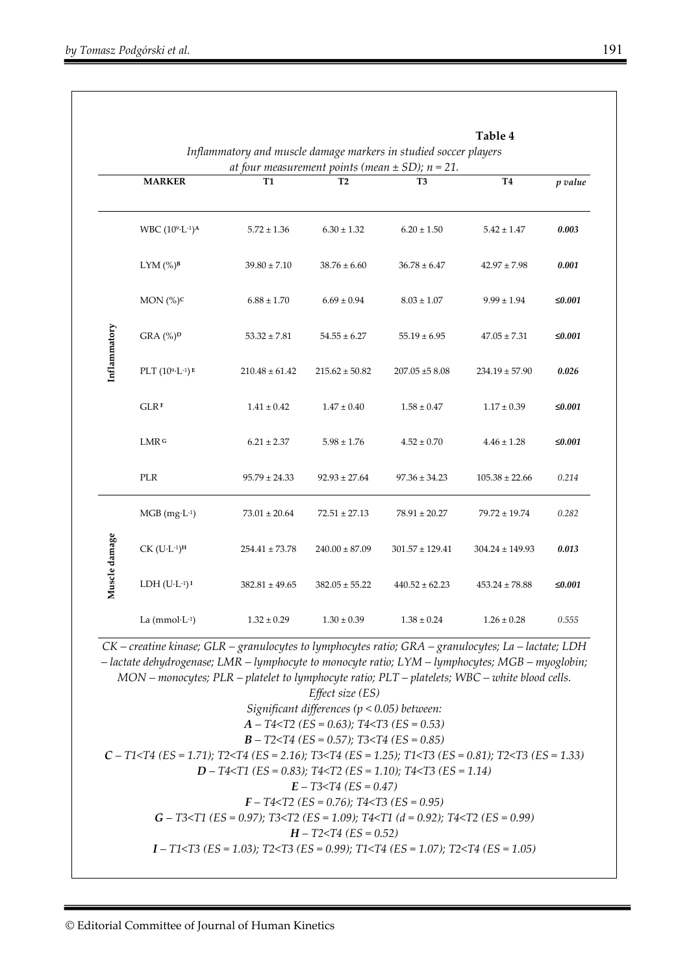|               | <b>MARKER</b>                         | T1                                                                                                                                                                                                                                                                                                                     | T <sub>2</sub>                                                                                                                          | at four measurement points (mean $\pm$ SD); n = 21.<br>T3                             | <b>T4</b>           | p value |  |
|---------------|---------------------------------------|------------------------------------------------------------------------------------------------------------------------------------------------------------------------------------------------------------------------------------------------------------------------------------------------------------------------|-----------------------------------------------------------------------------------------------------------------------------------------|---------------------------------------------------------------------------------------|---------------------|---------|--|
|               |                                       |                                                                                                                                                                                                                                                                                                                        |                                                                                                                                         |                                                                                       |                     |         |  |
|               | WBC (109-L-1)A                        | $5.72 \pm 1.36$                                                                                                                                                                                                                                                                                                        | $6.30 \pm 1.32$                                                                                                                         | $6.20 \pm 1.50$                                                                       | $5.42 \pm 1.47$     | 0.003   |  |
|               | LYM $(\%)^B$                          | $39.80 \pm 7.10$                                                                                                                                                                                                                                                                                                       | $38.76 \pm 6.60$                                                                                                                        | $36.78 \pm 6.47$                                                                      | $42.97 \pm 7.98$    | 0.001   |  |
|               | MON (%) <sup>c</sup>                  | $6.88 \pm 1.70$                                                                                                                                                                                                                                                                                                        | $6.69 \pm 0.94$                                                                                                                         | $8.03 \pm 1.07$                                                                       | $9.99 \pm 1.94$     | ≤0.001  |  |
| Inflammatory  | $GRA$ (%) <sup>D</sup>                | $53.32 \pm 7.81$                                                                                                                                                                                                                                                                                                       | $54.55 \pm 6.27$                                                                                                                        | $55.19 \pm 6.95$                                                                      | $47.05 \pm 7.31$    | ≤0.001  |  |
|               | PLT $(109 \cdot L^{-1})$ <sup>E</sup> | $210.48 \pm 61.42$                                                                                                                                                                                                                                                                                                     | $215.62 \pm 50.82$                                                                                                                      | $207.05 \pm 58.08$                                                                    | $234.19 \pm 57.90$  | 0.026   |  |
|               | <b>GLRF</b>                           | $1.41 \pm 0.42$                                                                                                                                                                                                                                                                                                        | $1.47 \pm 0.40$                                                                                                                         | $1.58 \pm 0.47$                                                                       | $1.17 \pm 0.39$     | ≤0.001  |  |
|               | LMR <sub>G</sub>                      | $6.21 \pm 2.37$                                                                                                                                                                                                                                                                                                        | $5.98 \pm 1.76$                                                                                                                         | $4.52 \pm 0.70$                                                                       | $4.46 \pm 1.28$     | ≤0.001  |  |
|               | PLR                                   | $95.79 \pm 24.33$                                                                                                                                                                                                                                                                                                      | $92.93 \pm 27.64$                                                                                                                       | $97.36 \pm 34.23$                                                                     | $105.38 \pm 22.66$  | 0.214   |  |
|               | $MGB (mg·L-1)$                        | $73.01 \pm 20.64$                                                                                                                                                                                                                                                                                                      | $72.51 \pm 27.13$                                                                                                                       | $78.91 \pm 20.27$                                                                     | $79.72 \pm 19.74$   | 0.282   |  |
| Muscle damage | $CK$ $(U \cdot L^{-1})^H$             | $254.41 \pm 73.78$                                                                                                                                                                                                                                                                                                     | $240.00 \pm 87.09$                                                                                                                      | $301.57 \pm 129.41$                                                                   | $304.24 \pm 149.93$ | 0.013   |  |
|               | $LDH (U·L-1)T$                        | $382.81 \pm 49.65$                                                                                                                                                                                                                                                                                                     | $382.05 \pm 55.22$                                                                                                                      | $440.52 \pm 62.23$                                                                    | $453.24 \pm 78.88$  | ≤0.001  |  |
|               | La $(mmol·L-1)$                       | $1.32 \pm 0.29$                                                                                                                                                                                                                                                                                                        | $1.30 \pm 0.39$                                                                                                                         | $1.38 \pm 0.24$                                                                       | $1.26 \pm 0.28$     | 0.555   |  |
|               |                                       | $CK$ – creatine kinase; $GLR$ – granulocytes to lymphocytes ratio; $GRA$ – granulocytes; La – lactate; LDH<br>- lactate dehydrogenase; LMR - lymphocyte to monocyte ratio; LYM - lymphocytes; MGB - myoglobin;<br>$MON$ – monocytes; $PLR$ – platelet to lymphocyte ratio; $PLT$ – platelets; WBC – white blood cells. | Effect size (ES)<br>Significant differences ( $p < 0.05$ ) between:                                                                     |                                                                                       |                     |         |  |
|               |                                       |                                                                                                                                                                                                                                                                                                                        |                                                                                                                                         |                                                                                       |                     |         |  |
|               |                                       | $C - T1 <$ [4 (ES = 1.71); T2 $<$ [4 (ES = 2.16); T3 $<$ [4 (ES = 1.25); T1 $<$ [3 (ES = 0.81); T2 $<$ [3 (ES = 1.33)                                                                                                                                                                                                  |                                                                                                                                         |                                                                                       |                     |         |  |
|               |                                       |                                                                                                                                                                                                                                                                                                                        |                                                                                                                                         | $D - T4 < T1$ (ES = 0.83); T4 <t2 (es="1.14)&lt;/td" t4<t3=""><td></td><td></td></t2> |                     |         |  |
|               |                                       |                                                                                                                                                                                                                                                                                                                        | $A - T4 < T2$ (ES = 0.63); T4 < T3 (ES = 0.53)<br>$B - T2 < T4$ (ES = 0.57); T3 <t4 (es="0.85)&lt;/td"><td></td><td></td><td></td></t4> |                                                                                       |                     |         |  |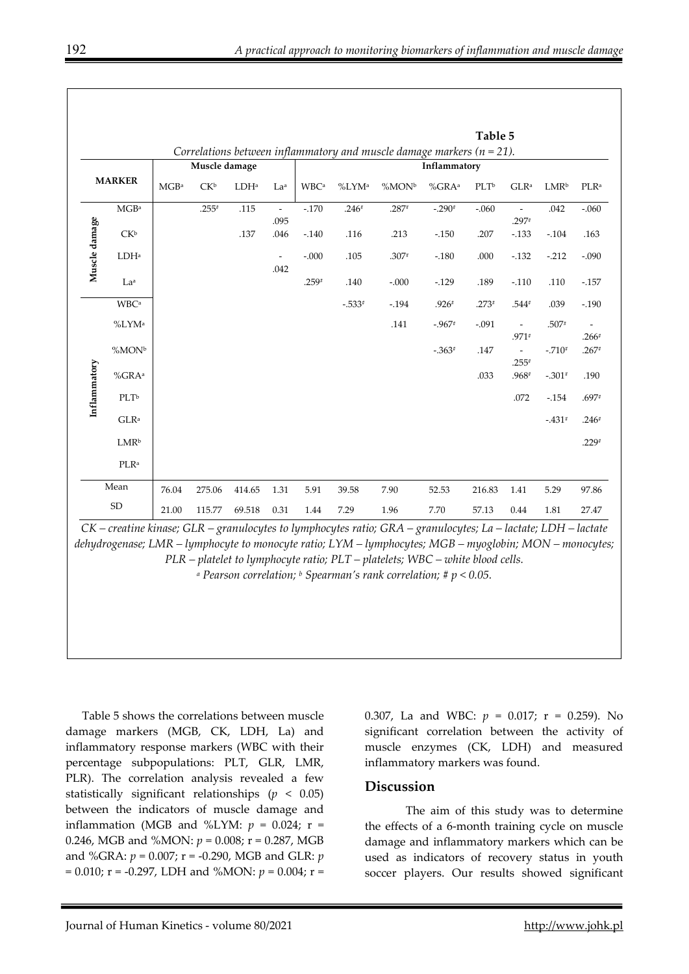|               |                         |                  |                 |         |                                  |                         |                   |                                                                           |                      | Table 5          |                                                |                  |                          |
|---------------|-------------------------|------------------|-----------------|---------|----------------------------------|-------------------------|-------------------|---------------------------------------------------------------------------|----------------------|------------------|------------------------------------------------|------------------|--------------------------|
|               |                         |                  |                 |         |                                  |                         |                   | Correlations between inflammatory and muscle damage markers ( $n = 21$ ). |                      |                  |                                                |                  |                          |
|               |                         | Muscle damage    |                 |         |                                  | Inflammatory            |                   |                                                                           |                      |                  |                                                |                  |                          |
|               | <b>MARKER</b>           | MGB <sup>a</sup> | CK <sup>b</sup> | $LDH^a$ | La <sup>a</sup>                  | <b>WBC</b> <sup>a</sup> | %LYM <sup>a</sup> | %MON <sup>b</sup>                                                         | $%$ GRA <sup>a</sup> | PLT <sup>b</sup> | GLR <sup>a</sup>                               | LMR <sup>b</sup> | PLR <sup>a</sup>         |
|               | $\rm MGB^a$             |                  | $.255*$         | .115    | $\overline{\phantom{a}}$<br>.095 | $-.170$                 | $.246*$           | $.287*$                                                                   | $-.290*$             | $-.060$          | $\overline{\phantom{a}}$<br>.297#              | .042             | $-.060$                  |
|               | CK <sup>b</sup>         |                  |                 | .137    | .046                             | $-.140$                 | .116              | .213                                                                      | $-.150$              | .207             | $-.133$                                        | $-.104$          | .163                     |
| Muscle damage | LDH <sup>a</sup>        |                  |                 |         | $\overline{\phantom{a}}$         | $-.000$                 | .105              | $.307*$                                                                   | $-.180$              | .000             | $-.132$                                        | $-.212$          | $-.090$                  |
|               | La <sup>a</sup>         |                  |                 |         | .042                             | $.259*$                 | .140              | $-.000$                                                                   | $-.129$              | .189             | $-.110$                                        | .110             | $-.157$                  |
|               | <b>WBC</b> <sup>a</sup> |                  |                 |         |                                  |                         | $-.533*$          | $-.194$                                                                   | $.926*$              | $.273*$          | .544#                                          | .039             | $-.190$                  |
|               | %LYM <sup>a</sup>       |                  |                 |         |                                  |                         |                   | .141                                                                      | $-.967*$             | $-.091$          | $\overline{\phantom{a}}$                       | $.507*$          | $\overline{\phantom{a}}$ |
|               | $\%MON^b$               |                  |                 |         |                                  |                         |                   |                                                                           | $-.363*$             | .147             | $.971*$<br>$\overline{\phantom{0}}$<br>$.255*$ | $-.710*$         | $.266*$<br>$.267*$       |
| Inflammatory  | $%$ GRA <sup>a</sup>    |                  |                 |         |                                  |                         |                   |                                                                           |                      | .033             | .968#                                          | $-.301*$         | .190                     |
|               | PLT <sub>b</sub>        |                  |                 |         |                                  |                         |                   |                                                                           |                      |                  | .072                                           | $-.154$          | $.697*$                  |
|               | $GLR^a$                 |                  |                 |         |                                  |                         |                   |                                                                           |                      |                  |                                                | $-.431*$         | $.246*$                  |
|               | <b>LMR</b> <sup>b</sup> |                  |                 |         |                                  |                         |                   |                                                                           |                      |                  |                                                |                  | $.229*$                  |
|               | PLR <sup>a</sup>        |                  |                 |         |                                  |                         |                   |                                                                           |                      |                  |                                                |                  |                          |
|               | Mean                    | 76.04            | 275.06          | 414.65  | 1.31                             | 5.91                    | 39.58             | 7.90                                                                      | 52.53                | 216.83           | 1.41                                           | 5.29             | 97.86                    |
|               | ${\rm SD}$              | 21.00            | 115.77          | 69.518  | 0.31                             | 1.44                    | 7.29              | 1.96                                                                      | 7.70                 | 57.13            | 0.44                                           | 1.81             | 27.47                    |

*CK – creatine kinase; GLR – granulocytes to lymphocytes ratio; GRA – granulocytes; La – lactate; LDH – lactate dehydrogenase; LMR – lymphocyte to monocyte ratio; LYM – lymphocytes; MGB – myoglobin; MON – monocytes; PLR – platelet to lymphocyte ratio; PLT – platelets; WBC – white blood cells.* 

*a Pearson correlation; b Spearman's rank correlation; # p < 0.05.* 

Table 5 shows the correlations between muscle damage markers (MGB, CK, LDH, La) and inflammatory response markers (WBC with their percentage subpopulations: PLT, GLR, LMR, PLR). The correlation analysis revealed a few statistically significant relationships (*p* < 0.05) between the indicators of muscle damage and inflammation (MGB and %LYM:  $p = 0.024$ ;  $r =$ 0.246, MGB and %MON: *p* = 0.008; r = 0.287, MGB and %GRA: *p* = 0.007; r = -0.290, MGB and GLR: *p* = 0.010; r = -0.297, LDH and %MON: *p* = 0.004; r =

0.307, La and WBC: *p* = 0.017; r = 0.259). No significant correlation between the activity of muscle enzymes (CK, LDH) and measured inflammatory markers was found.

#### **Discussion**

The aim of this study was to determine the effects of a 6-month training cycle on muscle damage and inflammatory markers which can be used as indicators of recovery status in youth soccer players. Our results showed significant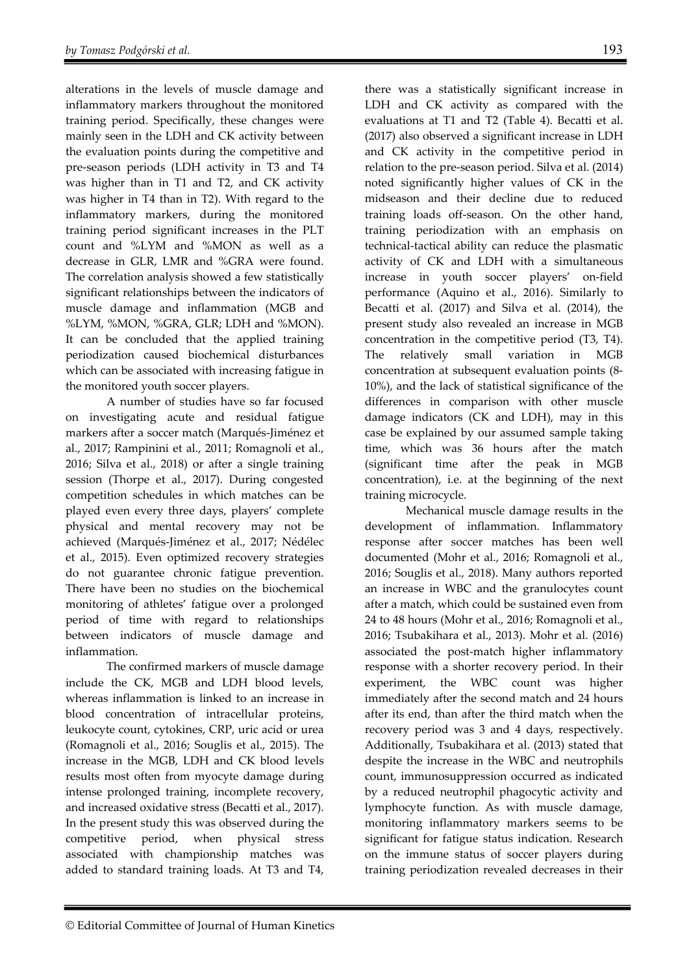alterations in the levels of muscle damage and inflammatory markers throughout the monitored training period. Specifically, these changes were mainly seen in the LDH and CK activity between the evaluation points during the competitive and pre-season periods (LDH activity in T3 and T4 was higher than in T1 and T2, and CK activity was higher in T4 than in T2). With regard to the inflammatory markers, during the monitored training period significant increases in the PLT count and %LYM and %MON as well as a decrease in GLR, LMR and %GRA were found. The correlation analysis showed a few statistically significant relationships between the indicators of muscle damage and inflammation (MGB and %LYM, %MON, %GRA, GLR; LDH and %MON). It can be concluded that the applied training periodization caused biochemical disturbances which can be associated with increasing fatigue in the monitored youth soccer players.

A number of studies have so far focused on investigating acute and residual fatigue markers after a soccer match (Marqués-Jiménez et al., 2017; Rampinini et al., 2011; Romagnoli et al., 2016; Silva et al., 2018) or after a single training session (Thorpe et al., 2017). During congested competition schedules in which matches can be played even every three days, players' complete physical and mental recovery may not be achieved (Marqués-Jiménez et al., 2017; Nédélec et al., 2015). Even optimized recovery strategies do not guarantee chronic fatigue prevention. There have been no studies on the biochemical monitoring of athletes' fatigue over a prolonged period of time with regard to relationships between indicators of muscle damage and inflammation.

The confirmed markers of muscle damage include the CK, MGB and LDH blood levels, whereas inflammation is linked to an increase in blood concentration of intracellular proteins, leukocyte count, cytokines, CRP, uric acid or urea (Romagnoli et al., 2016; Souglis et al., 2015). The increase in the MGB, LDH and CK blood levels results most often from myocyte damage during intense prolonged training, incomplete recovery, and increased oxidative stress (Becatti et al., 2017). In the present study this was observed during the competitive period, when physical stress associated with championship matches was added to standard training loads. At T3 and T4,

there was a statistically significant increase in LDH and CK activity as compared with the evaluations at T1 and T2 (Table 4). Becatti et al. (2017) also observed a significant increase in LDH and CK activity in the competitive period in relation to the pre-season period. Silva et al. (2014) noted significantly higher values of CK in the midseason and their decline due to reduced training loads off-season. On the other hand, training periodization with an emphasis on technical-tactical ability can reduce the plasmatic activity of CK and LDH with a simultaneous increase in youth soccer players' on-field performance (Aquino et al., 2016). Similarly to Becatti et al. (2017) and Silva et al. (2014), the present study also revealed an increase in MGB concentration in the competitive period (T3, T4). The relatively small variation in MGB concentration at subsequent evaluation points (8- 10%), and the lack of statistical significance of the differences in comparison with other muscle damage indicators (CK and LDH), may in this case be explained by our assumed sample taking time, which was 36 hours after the match (significant time after the peak in MGB concentration), i.e. at the beginning of the next training microcycle.

Mechanical muscle damage results in the development of inflammation. Inflammatory response after soccer matches has been well documented (Mohr et al., 2016; Romagnoli et al., 2016; Souglis et al., 2018). Many authors reported an increase in WBC and the granulocytes count after a match, which could be sustained even from 24 to 48 hours (Mohr et al., 2016; Romagnoli et al., 2016; Tsubakihara et al., 2013). Mohr et al. (2016) associated the post-match higher inflammatory response with a shorter recovery period. In their experiment, the WBC count was higher immediately after the second match and 24 hours after its end, than after the third match when the recovery period was 3 and 4 days, respectively. Additionally, Tsubakihara et al. (2013) stated that despite the increase in the WBC and neutrophils count, immunosuppression occurred as indicated by a reduced neutrophil phagocytic activity and lymphocyte function. As with muscle damage, monitoring inflammatory markers seems to be significant for fatigue status indication. Research on the immune status of soccer players during training periodization revealed decreases in their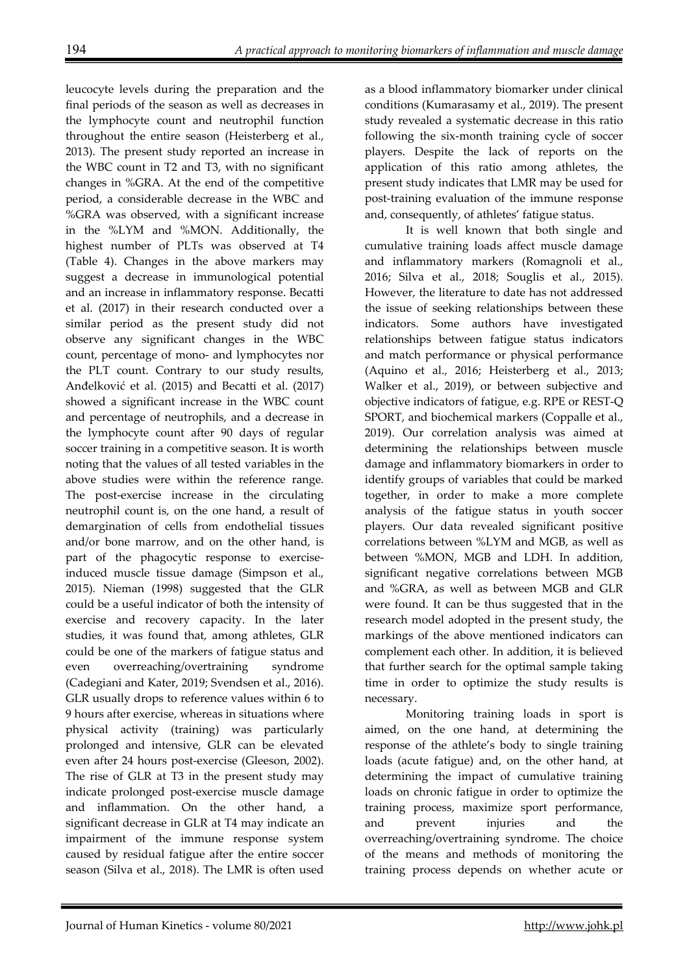leucocyte levels during the preparation and the final periods of the season as well as decreases in the lymphocyte count and neutrophil function throughout the entire season (Heisterberg et al., 2013). The present study reported an increase in the WBC count in T2 and T3, with no significant changes in %GRA. At the end of the competitive period, a considerable decrease in the WBC and %GRA was observed, with a significant increase in the %LYM and %MON. Additionally, the highest number of PLTs was observed at T4 (Table 4). Changes in the above markers may suggest a decrease in immunological potential and an increase in inflammatory response. Becatti et al. (2017) in their research conducted over a similar period as the present study did not observe any significant changes in the WBC count, percentage of mono- and lymphocytes nor the PLT count. Contrary to our study results, Anđelković et al. (2015) and Becatti et al. (2017) showed a significant increase in the WBC count and percentage of neutrophils, and a decrease in the lymphocyte count after 90 days of regular soccer training in a competitive season. It is worth noting that the values of all tested variables in the above studies were within the reference range. The post-exercise increase in the circulating neutrophil count is, on the one hand, a result of demargination of cells from endothelial tissues and/or bone marrow, and on the other hand, is part of the phagocytic response to exerciseinduced muscle tissue damage (Simpson et al., 2015). Nieman (1998) suggested that the GLR could be a useful indicator of both the intensity of exercise and recovery capacity. In the later studies, it was found that, among athletes, GLR could be one of the markers of fatigue status and even overreaching/overtraining syndrome (Cadegiani and Kater, 2019; Svendsen et al., 2016). GLR usually drops to reference values within 6 to 9 hours after exercise, whereas in situations where physical activity (training) was particularly prolonged and intensive, GLR can be elevated even after 24 hours post-exercise (Gleeson, 2002). The rise of GLR at T3 in the present study may indicate prolonged post-exercise muscle damage and inflammation. On the other hand, a significant decrease in GLR at T4 may indicate an impairment of the immune response system caused by residual fatigue after the entire soccer season (Silva et al., 2018). The LMR is often used

as a blood inflammatory biomarker under clinical conditions (Kumarasamy et al., 2019). The present study revealed a systematic decrease in this ratio following the six-month training cycle of soccer players. Despite the lack of reports on the application of this ratio among athletes, the present study indicates that LMR may be used for post-training evaluation of the immune response and, consequently, of athletes' fatigue status.

It is well known that both single and cumulative training loads affect muscle damage and inflammatory markers (Romagnoli et al., 2016; Silva et al., 2018; Souglis et al., 2015). However, the literature to date has not addressed the issue of seeking relationships between these indicators. Some authors have investigated relationships between fatigue status indicators and match performance or physical performance (Aquino et al., 2016; Heisterberg et al., 2013; Walker et al., 2019), or between subjective and objective indicators of fatigue, e.g. RPE or REST-Q SPORT, and biochemical markers (Coppalle et al., 2019). Our correlation analysis was aimed at determining the relationships between muscle damage and inflammatory biomarkers in order to identify groups of variables that could be marked together, in order to make a more complete analysis of the fatigue status in youth soccer players. Our data revealed significant positive correlations between %LYM and MGB, as well as between %MON, MGB and LDH. In addition, significant negative correlations between MGB and %GRA, as well as between MGB and GLR were found. It can be thus suggested that in the research model adopted in the present study, the markings of the above mentioned indicators can complement each other. In addition, it is believed that further search for the optimal sample taking time in order to optimize the study results is necessary.

Monitoring training loads in sport is aimed, on the one hand, at determining the response of the athlete's body to single training loads (acute fatigue) and, on the other hand, at determining the impact of cumulative training loads on chronic fatigue in order to optimize the training process, maximize sport performance, and prevent injuries and the overreaching/overtraining syndrome. The choice of the means and methods of monitoring the training process depends on whether acute or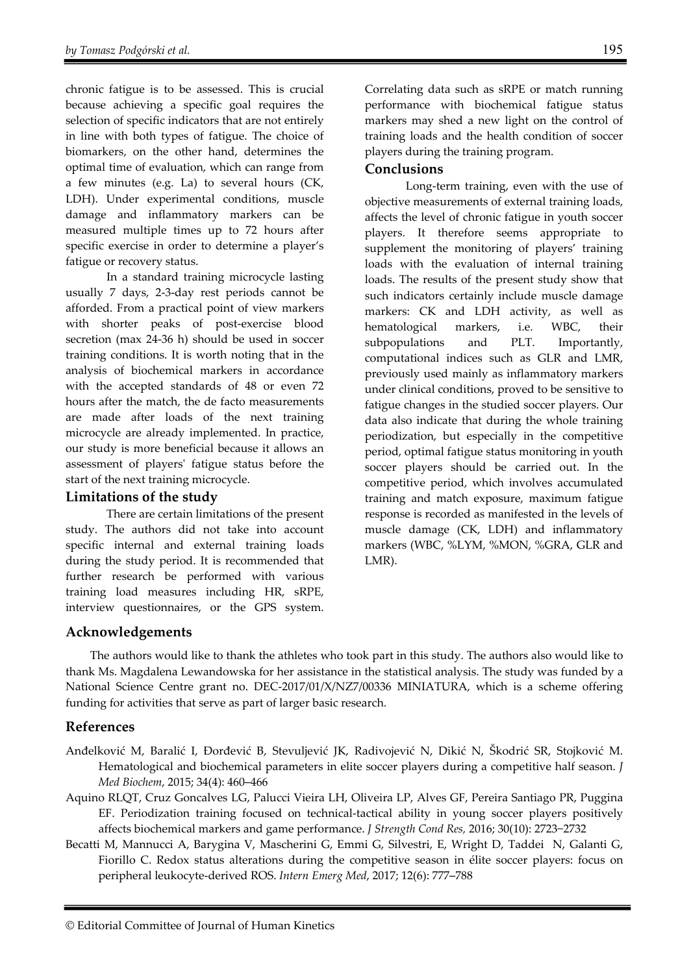chronic fatigue is to be assessed. This is crucial because achieving a specific goal requires the selection of specific indicators that are not entirely in line with both types of fatigue. The choice of biomarkers, on the other hand, determines the optimal time of evaluation, which can range from a few minutes (e.g. La) to several hours (CK, LDH). Under experimental conditions, muscle damage and inflammatory markers can be measured multiple times up to 72 hours after specific exercise in order to determine a player's fatigue or recovery status.

In a standard training microcycle lasting usually 7 days, 2-3-day rest periods cannot be afforded. From a practical point of view markers with shorter peaks of post-exercise blood secretion (max 24-36 h) should be used in soccer training conditions. It is worth noting that in the analysis of biochemical markers in accordance with the accepted standards of 48 or even 72 hours after the match, the de facto measurements are made after loads of the next training microcycle are already implemented. In practice, our study is more beneficial because it allows an assessment of players' fatigue status before the start of the next training microcycle.

### **Limitations of the study**

There are certain limitations of the present study. The authors did not take into account specific internal and external training loads during the study period. It is recommended that further research be performed with various training load measures including HR, sRPE, interview questionnaires, or the GPS system.

Correlating data such as sRPE or match running performance with biochemical fatigue status markers may shed a new light on the control of training loads and the health condition of soccer players during the training program.

# **Conclusions**

Long-term training, even with the use of objective measurements of external training loads, affects the level of chronic fatigue in youth soccer players. It therefore seems appropriate to supplement the monitoring of players' training loads with the evaluation of internal training loads. The results of the present study show that such indicators certainly include muscle damage markers: CK and LDH activity, as well as hematological markers, i.e. WBC, their subpopulations and PLT. Importantly, computational indices such as GLR and LMR, previously used mainly as inflammatory markers under clinical conditions, proved to be sensitive to fatigue changes in the studied soccer players. Our data also indicate that during the whole training periodization, but especially in the competitive period, optimal fatigue status monitoring in youth soccer players should be carried out. In the competitive period, which involves accumulated training and match exposure, maximum fatigue response is recorded as manifested in the levels of muscle damage (CK, LDH) and inflammatory markers (WBC, %LYM, %MON, %GRA, GLR and LMR).

# **Acknowledgements**

The authors would like to thank the athletes who took part in this study. The authors also would like to thank Ms. Magdalena Lewandowska for her assistance in the statistical analysis. The study was funded by a National Science Centre grant no. DEC-2017/01/X/NZ7/00336 MINIATURA, which is a scheme offering funding for activities that serve as part of larger basic research.

# **References**

- Anđelković M, Baralić I, Đorđević B, Stevuljević JK, Radivojević N, Dikić N, Škodrić SR, Stojković M. Hematological and biochemical parameters in elite soccer players during a competitive half season. *J Med Biochem*, 2015; 34(4): 460─466
- Aquino RLQT, Cruz Goncalves LG, Palucci Vieira LH, Oliveira LP, Alves GF, Pereira Santiago PR, Puggina EF. Periodization training focused on technical-tactical ability in young soccer players positively affects biochemical markers and game performance. *J Strength Cond Res,* 2016; 30(10): 2723−2732
- Becatti M, Mannucci A, Barygina V, Mascherini G, Emmi G, Silvestri, E, Wright D, Taddei N, Galanti G, Fiorillo C. Redox status alterations during the competitive season in élite soccer players: focus on peripheral leukocyte-derived ROS. *Intern Emerg Med*, 2017; 12(6): 777─788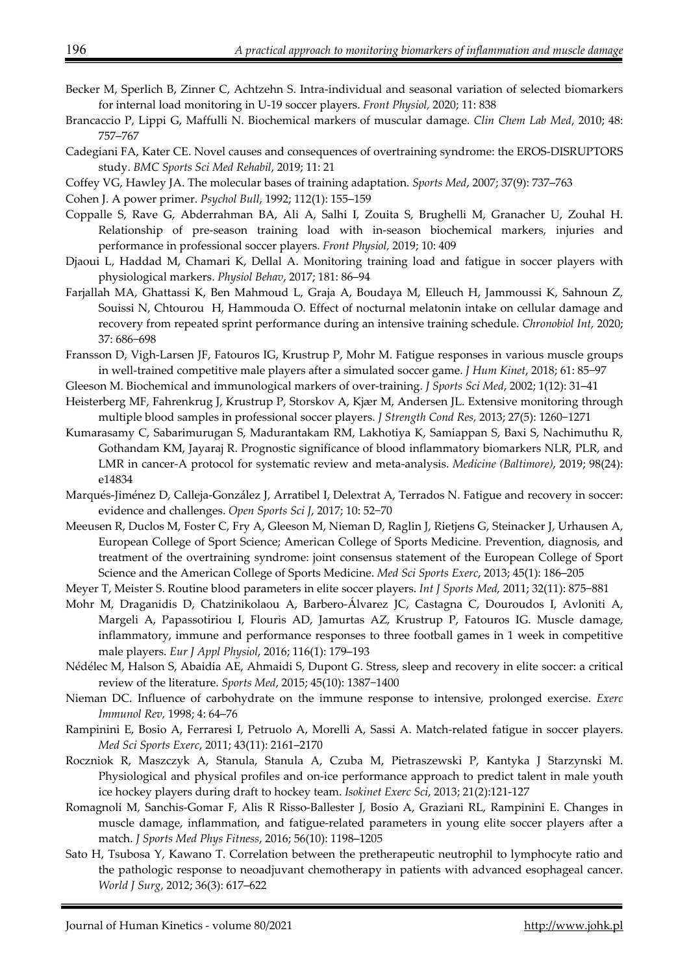- Becker M, Sperlich B, Zinner C, Achtzehn S. Intra-individual and seasonal variation of selected biomarkers for internal load monitoring in U-19 soccer players. *Front Physiol,* 2020; 11: 838
- Brancaccio P, Lippi G, Maffulli N. Biochemical markers of muscular damage. *Clin Chem Lab Med*, 2010; 48: 757─767
- Cadegiani FA, Kater CE. Novel causes and consequences of overtraining syndrome: the EROS-DISRUPTORS study. *BMC Sports Sci Med Rehabil*, 2019; 11: 21
- Coffey VG, Hawley JA. The molecular bases of training adaptation. *Sports Med*, 2007; 37(9): 737─763

Cohen J. A power primer. *Psychol Bull*, 1992; 112(1): 155─159

- Coppalle S, Rave G, Abderrahman BA, Ali A, Salhi I, Zouita S, Brughelli M, Granacher U, Zouhal H. Relationship of pre-season training load with in-season biochemical markers, injuries and performance in professional soccer players. *Front Physiol,* 2019; 10: 409
- Djaoui L, Haddad M, Chamari K, Dellal A. Monitoring training load and fatigue in soccer players with physiological markers. *Physiol Behav*, 2017; 181: 86─94
- Farjallah MA, Ghattassi K, Ben Mahmoud L, Graja A, Boudaya M, Elleuch H, Jammoussi K, Sahnoun Z, Souissi N, Chtourou H, Hammouda O. Effect of nocturnal melatonin intake on cellular damage and recovery from repeated sprint performance during an intensive training schedule. *Chronobiol Int,* 2020; 37: 686−698
- Fransson D, Vigh-Larsen JF, Fatouros IG, Krustrup P, Mohr M. Fatigue responses in various muscle groups in well-trained competitive male players after a simulated soccer game. *J Hum Kinet*, 2018; 61: 85−97
- Gleeson M. Biochemical and immunological markers of over-training. *J Sports Sci Med*, 2002; 1(12): 31─41
- Heisterberg MF, Fahrenkrug J, Krustrup P, Storskov A, Kjær M, Andersen JL. Extensive monitoring through multiple blood samples in professional soccer players. *J Strength Cond Res,* 2013; 27(5): 1260−1271
- Kumarasamy C, Sabarimurugan S, Madurantakam RM, Lakhotiya K, Samiappan S, Baxi S, Nachimuthu R, Gothandam KM, Jayaraj R. Prognostic significance of blood inflammatory biomarkers NLR, PLR, and LMR in cancer-A protocol for systematic review and meta-analysis. *Medicine (Baltimore)*, 2019; 98(24): e14834
- Marqués-Jiménez D, Calleja-González J, Arratibel I, Delextrat A, Terrados N. Fatigue and recovery in soccer: evidence and challenges. *Open Sports Sci J*, 2017; 10: 52−70
- Meeusen R, Duclos M, Foster C, Fry A, Gleeson M, Nieman D, Raglin J, Rietjens G, Steinacker J, Urhausen A, European College of Sport Science; American College of Sports Medicine. Prevention, diagnosis, and treatment of the overtraining syndrome: joint consensus statement of the European College of Sport Science and the American College of Sports Medicine. *Med Sci Sports Exerc*, 2013; 45(1): 186─205
- Meyer T, Meister S. Routine blood parameters in elite soccer players. *Int J Sports Med,* 2011; 32(11): 875−881
- Mohr M, Draganidis D, Chatzinikolaou A, Barbero-Álvarez JC, Castagna C, Douroudos I, Avloniti A, Margeli A, Papassotiriou I, Flouris AD, Jamurtas AZ, Krustrup P, Fatouros IG. Muscle damage, inflammatory, immune and performance responses to three football games in 1 week in competitive male players. *Eur J Appl Physiol*, 2016; 116(1): 179─193
- Nédélec M, Halson S, Abaidia AE, Ahmaidi S, Dupont G. Stress, sleep and recovery in elite soccer: a critical review of the literature. *Sports Med*, 2015; 45(10): 1387−1400
- Nieman DC. Influence of carbohydrate on the immune response to intensive, prolonged exercise. *Exerc Immunol Rev,* 1998; 4: 64─76
- Rampinini E, Bosio A, Ferraresi I, Petruolo A, Morelli A, Sassi A. Match-related fatigue in soccer players. *Med Sci Sports Exerc*, 2011; 43(11): 2161─2170
- Roczniok R, Maszczyk A, Stanula, Stanula A, Czuba M, Pietraszewski P, Kantyka J Starzynski M. Physiological and physical profiles and on-ice performance approach to predict talent in male youth ice hockey players during draft to hockey team. *Isokinet Exerc Sci*, 2013; 21(2):121-127
- Romagnoli M, Sanchis-Gomar F, Alis R Risso-Ballester J, Bosio A, Graziani RL, Rampinini E. Changes in muscle damage, inflammation, and fatigue-related parameters in young elite soccer players after a match. *J Sports Med Phys Fitness*, 2016; 56(10): 1198─1205
- Sato H, Tsubosa Y, Kawano T. Correlation between the pretherapeutic neutrophil to lymphocyte ratio and the pathologic response to neoadjuvant chemotherapy in patients with advanced esophageal cancer. *World J Surg*, 2012; 36(3): 617─622